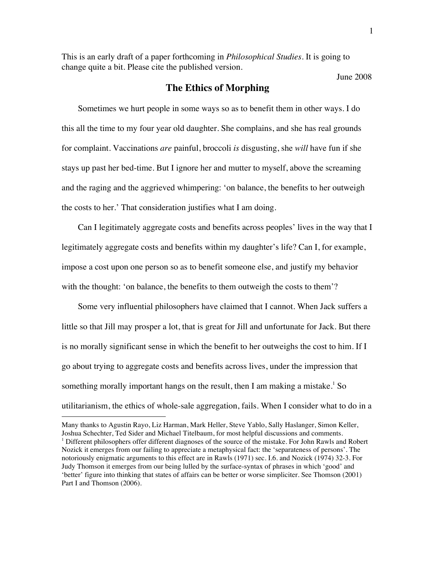This is an early draft of a paper forthcoming in *Philosophical Studies*. It is going to change quite a bit. Please cite the published version.

# June 2008

# **The Ethics of Morphing**

Sometimes we hurt people in some ways so as to benefit them in other ways. I do this all the time to my four year old daughter. She complains, and she has real grounds for complaint. Vaccinations *are* painful, broccoli *is* disgusting, she *will* have fun if she stays up past her bed-time. But I ignore her and mutter to myself, above the screaming and the raging and the aggrieved whimpering: 'on balance, the benefits to her outweigh the costs to her.' That consideration justifies what I am doing.

Can I legitimately aggregate costs and benefits across peoples' lives in the way that I legitimately aggregate costs and benefits within my daughter's life? Can I, for example, impose a cost upon one person so as to benefit someone else, and justify my behavior with the thought: 'on balance, the benefits to them outweigh the costs to them'?

Some very influential philosophers have claimed that I cannot. When Jack suffers a little so that Jill may prosper a lot, that is great for Jill and unfortunate for Jack. But there is no morally significant sense in which the benefit to her outweighs the cost to him. If I go about trying to aggregate costs and benefits across lives, under the impression that something morally important hangs on the result, then I am making a mistake.<sup>1</sup> So utilitarianism, the ethics of whole-sale aggregation, fails. When I consider what to do in a

 $\overline{a}$ 

Many thanks to Agustin Rayo, Liz Harman, Mark Heller, Steve Yablo, Sally Haslanger, Simon Keller, Joshua Schechter, Ted Sider and Michael Titelbaum, for most helpful discussions and comments. <sup>1</sup> Different philosophers offer different diagnoses of the source of the mistake. For John Rawls and Robert Nozick it emerges from our failing to appreciate a metaphysical fact: the 'separateness of persons'. The notoriously enigmatic arguments to this effect are in Rawls (1971) sec. I.6. and Nozick (1974) 32-3. For Judy Thomson it emerges from our being lulled by the surface-syntax of phrases in which 'good' and 'better' figure into thinking that states of affairs can be better or worse simpliciter. See Thomson (2001) Part I and Thomson (2006).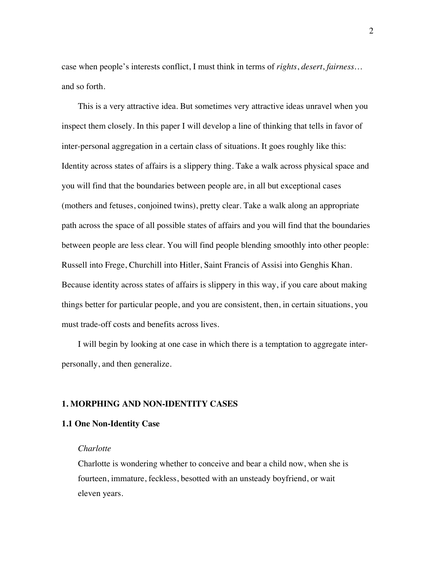case when people's interests conflict, I must think in terms of *rights*, *desert*, *fairness…* and so forth.

This is a very attractive idea. But sometimes very attractive ideas unravel when you inspect them closely. In this paper I will develop a line of thinking that tells in favor of inter-personal aggregation in a certain class of situations. It goes roughly like this: Identity across states of affairs is a slippery thing. Take a walk across physical space and you will find that the boundaries between people are, in all but exceptional cases (mothers and fetuses, conjoined twins), pretty clear. Take a walk along an appropriate path across the space of all possible states of affairs and you will find that the boundaries between people are less clear. You will find people blending smoothly into other people: Russell into Frege, Churchill into Hitler, Saint Francis of Assisi into Genghis Khan. Because identity across states of affairs is slippery in this way, if you care about making things better for particular people, and you are consistent, then, in certain situations, you must trade-off costs and benefits across lives.

I will begin by looking at one case in which there is a temptation to aggregate interpersonally, and then generalize.

### **1. MORPHING AND NON-IDENTITY CASES**

#### **1.1 One Non-Identity Case**

#### *Charlotte*

Charlotte is wondering whether to conceive and bear a child now, when she is fourteen, immature, feckless, besotted with an unsteady boyfriend, or wait eleven years.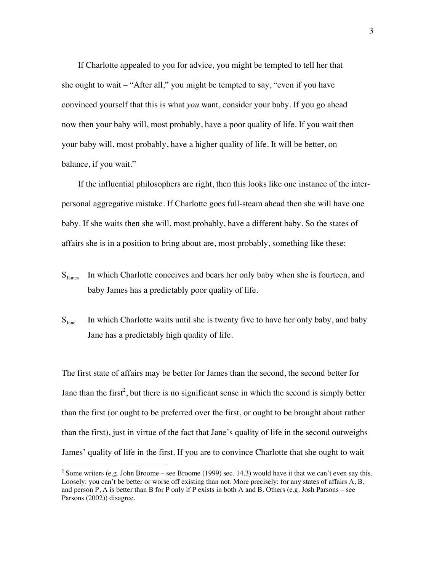If Charlotte appealed to you for advice, you might be tempted to tell her that she ought to wait – "After all," you might be tempted to say, "even if you have convinced yourself that this is what *you* want, consider your baby. If you go ahead now then your baby will, most probably, have a poor quality of life. If you wait then your baby will, most probably, have a higher quality of life. It will be better, on balance, if you wait."

If the influential philosophers are right, then this looks like one instance of the interpersonal aggregative mistake. If Charlotte goes full-steam ahead then she will have one baby. If she waits then she will, most probably, have a different baby. So the states of affairs she is in a position to bring about are, most probably, something like these:

- $S<sub>lames</sub>$  In which Charlotte conceives and bears her only baby when she is fourteen, and baby James has a predictably poor quality of life.
- $S<sub>Jane</sub>$  In which Charlotte waits until she is twenty five to have her only baby, and baby Jane has a predictably high quality of life.

The first state of affairs may be better for James than the second, the second better for Jane than the first<sup>2</sup>, but there is no significant sense in which the second is simply better than the first (or ought to be preferred over the first, or ought to be brought about rather than the first), just in virtue of the fact that Jane's quality of life in the second outweighs James' quality of life in the first. If you are to convince Charlotte that she ought to wait

 $\frac{1}{2}$ <sup>2</sup> Some writers (e.g. John Broome – see Broome (1999) sec. 14.3) would have it that we can't even say this. Loosely: you can't be better or worse off existing than not. More precisely: for any states of affairs A, B, and person P, A is better than B for P only if P exists in both A and B. Others (e.g. Josh Parsons – see Parsons (2002)) disagree.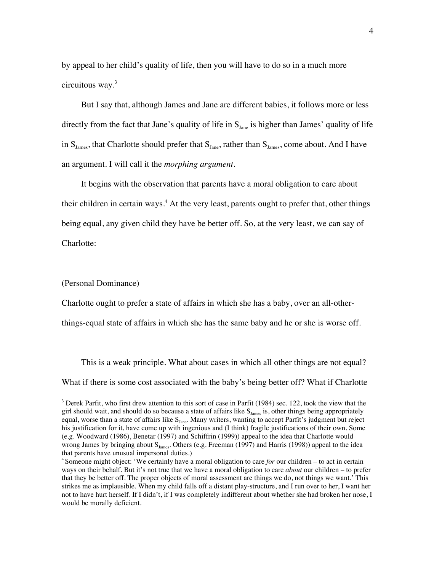by appeal to her child's quality of life, then you will have to do so in a much more circuitous way.<sup>3</sup>

But I say that, although James and Jane are different babies, it follows more or less directly from the fact that Jane's quality of life in  $S<sub>Jane</sub>$  is higher than James' quality of life in  $S<sub>Iames</sub>$ , that Charlotte should prefer that  $S<sub>Iane</sub>$ , rather than  $S<sub>Iames</sub>$ , come about. And I have an argument. I will call it the *morphing argument*.

It begins with the observation that parents have a moral obligation to care about their children in certain ways.<sup>4</sup> At the very least, parents ought to prefer that, other things being equal, any given child they have be better off. So, at the very least, we can say of Charlotte:

#### (Personal Dominance)

Charlotte ought to prefer a state of affairs in which she has a baby, over an all-other-

things-equal state of affairs in which she has the same baby and he or she is worse off.

This is a weak principle. What about cases in which all other things are not equal? What if there is some cost associated with the baby's being better off? What if Charlotte

<sup>&</sup>lt;sup>2</sup><br>3 <sup>3</sup> Derek Parfit, who first drew attention to this sort of case in Parfit (1984) sec. 122, took the view that the girl should wait, and should do so because a state of affairs like  $S<sub>James</sub>$  is, other things being appropriately equal, worse than a state of affairs like  $S<sub>Jane</sub>$ . Many writers, wanting to accept Parfit's judgment but reject his justification for it, have come up with ingenious and (I think) fragile justifications of their own. Some (e.g. Woodward (1986), Benetar (1997) and Schiffrin (1999)) appeal to the idea that Charlotte would wrong James by bringing about  $S<sub>lame</sub>$ . Others (e.g. Freeman (1997) and Harris (1998)) appeal to the idea that parents have unusual impersonal duties.)

<sup>4</sup> Someone might object: 'We certainly have a moral obligation to care *for* our children – to act in certain ways on their behalf. But it's not true that we have a moral obligation to care *about* our children – to prefer that they be better off. The proper objects of moral assessment are things we do, not things we want.' This strikes me as implausible. When my child falls off a distant play-structure, and I run over to her, I want her not to have hurt herself. If I didn't, if I was completely indifferent about whether she had broken her nose, I would be morally deficient.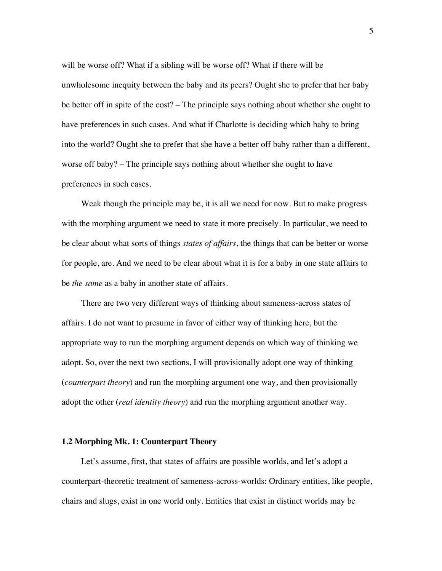will be worse off? What if a sibling will be worse off? What if there will be unwholesome inequity between the baby and its peers? Ought she to prefer that her baby be better off in spite of the cost? – The principle says nothing about whether she ought to have preferences in such cases. And what if Charlotte is deciding which baby to bring into the world? Ought she to prefer that she have a better off baby rather than a different, worse off baby? – The principle says nothing about whether she ought to have preferences in such cases.

Weak though the principle may be, it is all we need for now. But to make progress with the morphing argument we need to state it more precisely. In particular, we need to be clear about what sorts of things *states of affairs*, the things that can be better or worse for people, are. And we need to be clear about what it is for a baby in one state affairs to be *the same* as a baby in another state of affairs.

There are two very different ways of thinking about sameness-across states of affairs. I do not want to presume in favor of either way of thinking here, but the appropriate way to run the morphing argument depends on which way of thinking we adopt. So, over the next two sections, I will provisionally adopt one way of thinking (*counterpart theory*) and run the morphing argument one way, and then provisionally adopt the other (*real identity theory*) and run the morphing argument another way.

#### **1.2 Morphing Mk. 1: Counterpart Theory**

Let's assume, first, that states of affairs are possible worlds, and let's adopt a counterpart-theoretic treatment of sameness-across-worlds: Ordinary entities, like people, chairs and slugs, exist in one world only. Entities that exist in distinct worlds may be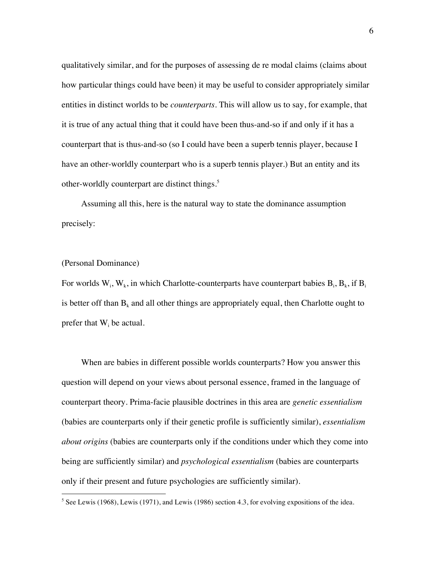qualitatively similar, and for the purposes of assessing de re modal claims (claims about how particular things could have been) it may be useful to consider appropriately similar entities in distinct worlds to be *counterparts*. This will allow us to say, for example, that it is true of any actual thing that it could have been thus-and-so if and only if it has a counterpart that is thus-and-so (so I could have been a superb tennis player, because I have an other-worldly counterpart who is a superb tennis player.) But an entity and its other-worldly counterpart are distinct things.<sup>5</sup>

Assuming all this, here is the natural way to state the dominance assumption precisely:

## (Personal Dominance)

For worlds  $W_i$ ,  $W_k$ , in which Charlotte-counterparts have counterpart babies  $B_i$ ,  $B_k$ , if  $B_i$ is better off than  $B_k$  and all other things are appropriately equal, then Charlotte ought to prefer that  $W_i$  be actual.

When are babies in different possible worlds counterparts? How you answer this question will depend on your views about personal essence, framed in the language of counterpart theory. Prima-facie plausible doctrines in this area are *genetic essentialism* (babies are counterparts only if their genetic profile is sufficiently similar), *essentialism about origins* (babies are counterparts only if the conditions under which they come into being are sufficiently similar) and *psychological essentialism* (babies are counterparts only if their present and future psychologies are sufficiently similar).

 <sup>5</sup>  $5$  See Lewis (1968), Lewis (1971), and Lewis (1986) section 4.3, for evolving expositions of the idea.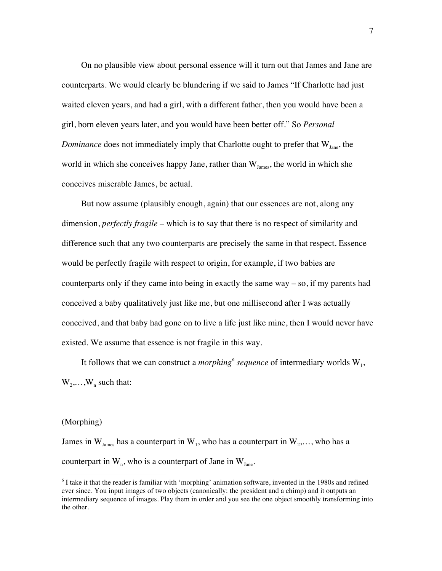On no plausible view about personal essence will it turn out that James and Jane are counterparts. We would clearly be blundering if we said to James "If Charlotte had just waited eleven years, and had a girl, with a different father, then you would have been a girl, born eleven years later, and you would have been better off." So *Personal Dominance* does not immediately imply that Charlotte ought to prefer that W<sub>Jane</sub>, the world in which she conceives happy Jane, rather than  $W_{James}$ , the world in which she conceives miserable James, be actual.

But now assume (plausibly enough, again) that our essences are not, along any dimension, *perfectly fragile* – which is to say that there is no respect of similarity and difference such that any two counterparts are precisely the same in that respect. Essence would be perfectly fragile with respect to origin, for example, if two babies are counterparts only if they came into being in exactly the same way – so, if my parents had conceived a baby qualitatively just like me, but one millisecond after I was actually conceived, and that baby had gone on to live a life just like mine, then I would never have existed. We assume that essence is not fragile in this way.

It follows that we can construct a *morphing*<sup>6</sup> sequence of intermediary worlds  $W_1$ ,  $W_2, \ldots, W_n$  such that:

### (Morphing)

James in  $W_{I_{\text{ames}}}$  has a counterpart in  $W_1$ , who has a counterpart in  $W_2, \ldots$ , who has a counterpart in  $W_n$ , who is a counterpart of Jane in  $W_{Jane}$ .

 <sup>6</sup>  $<sup>6</sup>$  I take it that the reader is familiar with 'morphing' animation software, invented in the 1980s and refined</sup> ever since. You input images of two objects (canonically: the president and a chimp) and it outputs an intermediary sequence of images. Play them in order and you see the one object smoothly transforming into the other.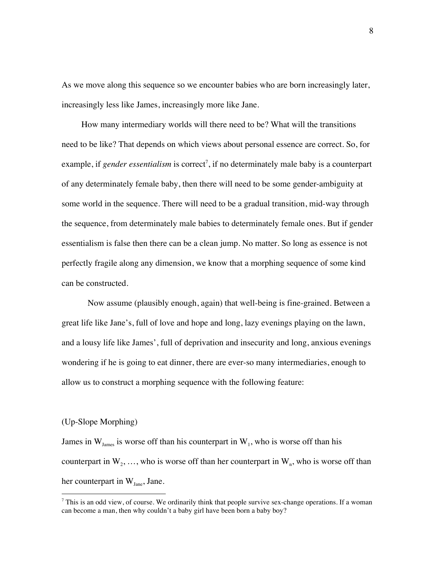As we move along this sequence so we encounter babies who are born increasingly later, increasingly less like James, increasingly more like Jane.

How many intermediary worlds will there need to be? What will the transitions need to be like? That depends on which views about personal essence are correct. So, for example, if *gender essentialism* is correct<sup>7</sup>, if no determinately male baby is a counterpart of any determinately female baby, then there will need to be some gender-ambiguity at some world in the sequence. There will need to be a gradual transition, mid-way through the sequence, from determinately male babies to determinately female ones. But if gender essentialism is false then there can be a clean jump. No matter. So long as essence is not perfectly fragile along any dimension, we know that a morphing sequence of some kind can be constructed.

Now assume (plausibly enough, again) that well-being is fine-grained. Between a great life like Jane's, full of love and hope and long, lazy evenings playing on the lawn, and a lousy life like James', full of deprivation and insecurity and long, anxious evenings wondering if he is going to eat dinner, there are ever-so many intermediaries, enough to allow us to construct a morphing sequence with the following feature:

### (Up-Slope Morphing)

James in  $W_{I_{\text{ames}}}$  is worse off than his counterpart in  $W_{I}$ , who is worse off than his counterpart in  $W_2, \ldots$ , who is worse off than her counterpart in  $W_n$ , who is worse off than her counterpart in  $W_{Jane}$ , Jane.

<sup>-&</sup>lt;br>7  $^7$  This is an odd view, of course. We ordinarily think that people survive sex-change operations. If a woman can become a man, then why couldn't a baby girl have been born a baby boy?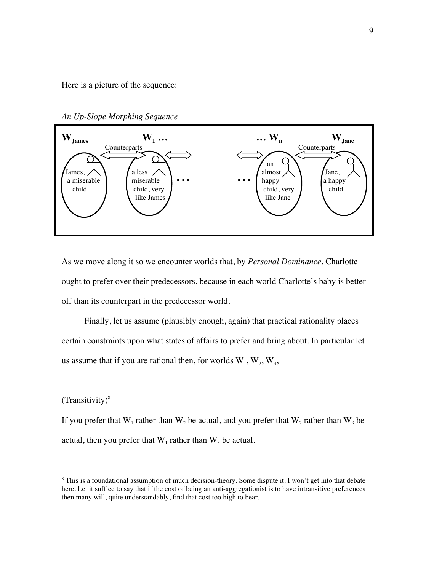Here is a picture of the sequence:

*An Up-Slope Morphing Sequence*



As we move along it so we encounter worlds that, by *Personal Dominance*, Charlotte ought to prefer over their predecessors, because in each world Charlotte's baby is better off than its counterpart in the predecessor world.

Finally, let us assume (plausibly enough, again) that practical rationality places certain constraints upon what states of affairs to prefer and bring about. In particular let us assume that if you are rational then, for worlds  $W_1, W_2, W_3$ ,

## $(Transitivity)^8$

If you prefer that  $W_1$  rather than  $W_2$  be actual, and you prefer that  $W_2$  rather than  $W_3$  be actual, then you prefer that  $W_1$  rather than  $W_3$  be actual.

 <sup>8</sup> <sup>8</sup> This is a foundational assumption of much decision-theory. Some dispute it. I won't get into that debate here. Let it suffice to say that if the cost of being an anti-aggregationist is to have intransitive preferences then many will, quite understandably, find that cost too high to bear.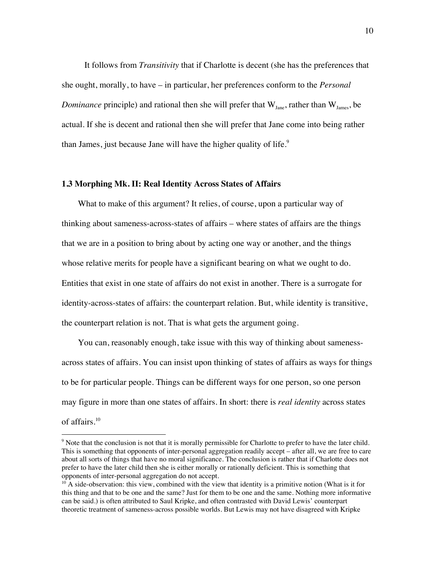It follows from *Transitivity* that if Charlotte is decent (she has the preferences that she ought, morally, to have – in particular, her preferences conform to the *Personal Dominance* principle) and rational then she will prefer that  $W_{I_{\text{anc}}}$ , rather than  $W_{I_{\text{ames}}}$ , be actual. If she is decent and rational then she will prefer that Jane come into being rather than James, just because Jane will have the higher quality of life. $9$ 

## **1.3 Morphing Mk. II: Real Identity Across States of Affairs**

What to make of this argument? It relies, of course, upon a particular way of thinking about sameness-across-states of affairs – where states of affairs are the things that we are in a position to bring about by acting one way or another, and the things whose relative merits for people have a significant bearing on what we ought to do. Entities that exist in one state of affairs do not exist in another. There is a surrogate for identity-across-states of affairs: the counterpart relation. But, while identity is transitive, the counterpart relation is not. That is what gets the argument going.

You can, reasonably enough, take issue with this way of thinking about samenessacross states of affairs. You can insist upon thinking of states of affairs as ways for things to be for particular people. Things can be different ways for one person, so one person may figure in more than one states of affairs. In short: there is *real identity* across states of affairs.10

<sup>-&</sup>lt;br>9 <sup>9</sup> Note that the conclusion is not that it is morally permissible for Charlotte to prefer to have the later child. This is something that opponents of inter-personal aggregation readily accept – after all, we are free to care about all sorts of things that have no moral significance. The conclusion is rather that if Charlotte does not prefer to have the later child then she is either morally or rationally deficient. This is something that opponents of inter-personal aggregation do not accept.<br><sup>10</sup> A side-observation: this view, combined with the view that identity is a primitive notion (What is it for

this thing and that to be one and the same? Just for them to be one and the same. Nothing more informative can be said.) is often attributed to Saul Kripke, and often contrasted with David Lewis' counterpart theoretic treatment of sameness-across possible worlds. But Lewis may not have disagreed with Kripke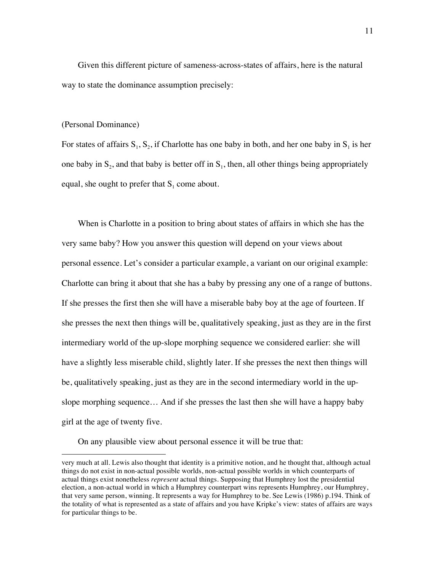Given this different picture of sameness-across-states of affairs, here is the natural way to state the dominance assumption precisely:

#### (Personal Dominance)

 $\overline{a}$ 

For states of affairs  $S_1$ ,  $S_2$ , if Charlotte has one baby in both, and her one baby in  $S_1$  is her one baby in  $S_2$ , and that baby is better off in  $S_1$ , then, all other things being appropriately equal, she ought to prefer that  $S_1$  come about.

When is Charlotte in a position to bring about states of affairs in which she has the very same baby? How you answer this question will depend on your views about personal essence. Let's consider a particular example, a variant on our original example: Charlotte can bring it about that she has a baby by pressing any one of a range of buttons. If she presses the first then she will have a miserable baby boy at the age of fourteen. If she presses the next then things will be, qualitatively speaking, just as they are in the first intermediary world of the up-slope morphing sequence we considered earlier: she will have a slightly less miserable child, slightly later. If she presses the next then things will be, qualitatively speaking, just as they are in the second intermediary world in the upslope morphing sequence… And if she presses the last then she will have a happy baby girl at the age of twenty five.

On any plausible view about personal essence it will be true that:

very much at all. Lewis also thought that identity is a primitive notion, and he thought that, although actual things do not exist in non-actual possible worlds, non-actual possible worlds in which counterparts of actual things exist nonetheless *represent* actual things. Supposing that Humphrey lost the presidential election, a non-actual world in which a Humphrey counterpart wins represents Humphrey, our Humphrey, that very same person, winning. It represents a way for Humphrey to be. See Lewis (1986) p.194. Think of the totality of what is represented as a state of affairs and you have Kripke's view: states of affairs are ways for particular things to be.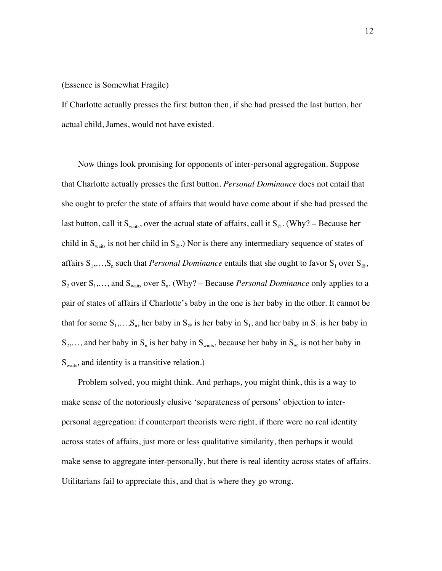#### (Essence is Somewhat Fragile)

If Charlotte actually presses the first button then, if she had pressed the last button, her actual child, James, would not have existed.

Now things look promising for opponents of inter-personal aggregation. Suppose that Charlotte actually presses the first button. *Personal Dominance* does not entail that she ought to prefer the state of affairs that would have come about if she had pressed the last button, call it S<sub>waits</sub>, over the actual state of affairs, call it S<sub>@</sub>. (Why? – Because her child in  $S_{wairs}$  is not her child in  $S_{\omega}$ .) Nor is there any intermediary sequence of states of affairs  $S_1, \ldots, S_n$  such that *Personal Dominance* entails that she ought to favor  $S_1$  over  $S_\omega$ ,  $S_2$  over  $S_1, \ldots$ , and  $S_{\text{waits}}$  over  $S_n$ . (Why? – Because *Personal Dominance* only applies to a pair of states of affairs if Charlotte's baby in the one is her baby in the other. It cannot be that for some  $S_1, \ldots, S_n$ , her baby in  $S_\omega$  is her baby in  $S_1$ , and her baby in  $S_1$  is her baby in  $S_2,...$ , and her baby in  $S_n$  is her baby in  $S_{\text{waits}}$ , because her baby in  $S_{\omega}$  is not her baby in S<sub>waits</sub>, and identity is a transitive relation.)

Problem solved, you might think. And perhaps, you might think, this is a way to make sense of the notoriously elusive 'separateness of persons' objection to interpersonal aggregation: if counterpart theorists were right, if there were no real identity across states of affairs, just more or less qualitative similarity, then perhaps it would make sense to aggregate inter-personally, but there is real identity across states of affairs. Utilitarians fail to appreciate this, and that is where they go wrong.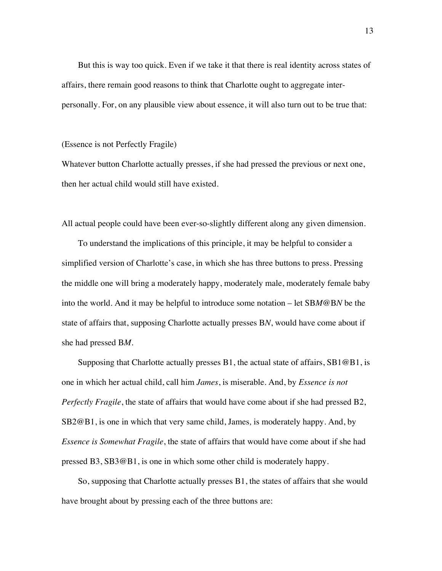But this is way too quick. Even if we take it that there is real identity across states of affairs, there remain good reasons to think that Charlotte ought to aggregate interpersonally. For, on any plausible view about essence, it will also turn out to be true that:

#### (Essence is not Perfectly Fragile)

Whatever button Charlotte actually presses, if she had pressed the previous or next one, then her actual child would still have existed.

All actual people could have been ever-so-slightly different along any given dimension.

To understand the implications of this principle, it may be helpful to consider a simplified version of Charlotte's case, in which she has three buttons to press. Pressing the middle one will bring a moderately happy, moderately male, moderately female baby into the world. And it may be helpful to introduce some notation – let SB*M*@B*N* be the state of affairs that, supposing Charlotte actually presses B*N*, would have come about if she had pressed B*M*.

Supposing that Charlotte actually presses B1, the actual state of affairs, SB1@B1, is one in which her actual child, call him *James*, is miserable. And, by *Essence is not Perfectly Fragile*, the state of affairs that would have come about if she had pressed B2, SB2@B1, is one in which that very same child, James*,* is moderately happy. And, by *Essence is Somewhat Fragile*, the state of affairs that would have come about if she had pressed B3, SB3@B1, is one in which some other child is moderately happy.

So, supposing that Charlotte actually presses B1, the states of affairs that she would have brought about by pressing each of the three buttons are: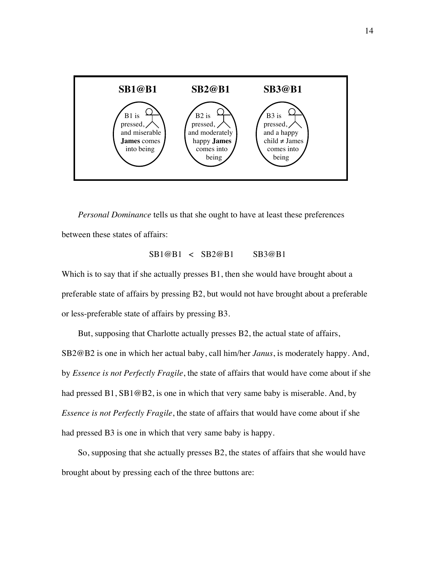

*Personal Dominance* tells us that she ought to have at least these preferences between these states of affairs:

# SB1@B1 < SB2@B1 SB3@B1

Which is to say that if she actually presses B1, then she would have brought about a preferable state of affairs by pressing B2, but would not have brought about a preferable or less-preferable state of affairs by pressing B3.

But, supposing that Charlotte actually presses B2, the actual state of affairs, SB2@B2 is one in which her actual baby, call him/her *Janus*, is moderately happy. And, by *Essence is not Perfectly Fragile*, the state of affairs that would have come about if she had pressed B1, SB1@B2, is one in which that very same baby is miserable. And, by *Essence is not Perfectly Fragile*, the state of affairs that would have come about if she had pressed B3 is one in which that very same baby is happy.

So, supposing that she actually presses B2, the states of affairs that she would have brought about by pressing each of the three buttons are: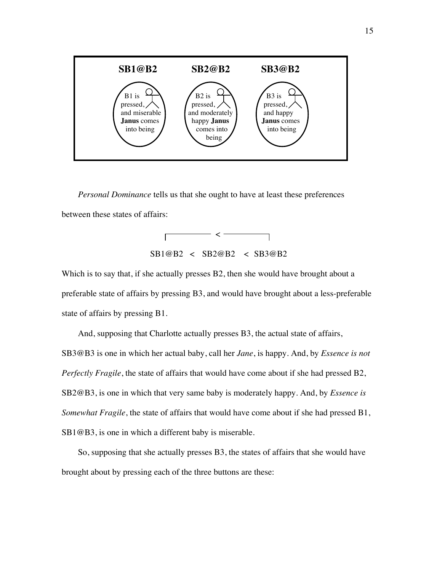

*Personal Dominance* tells us that she ought to have at least these preferences between these states of affairs:



Which is to say that, if she actually presses B2, then she would have brought about a preferable state of affairs by pressing B3, and would have brought about a less-preferable state of affairs by pressing B1.

And, supposing that Charlotte actually presses B3, the actual state of affairs, SB3@B3 is one in which her actual baby, call her *Jane*, is happy. And, by *Essence is not Perfectly Fragile*, the state of affairs that would have come about if she had pressed B2, SB2@B3, is one in which that very same baby is moderately happy. And, by *Essence is Somewhat Fragile*, the state of affairs that would have come about if she had pressed B1, SB1@B3, is one in which a different baby is miserable.

So, supposing that she actually presses B3, the states of affairs that she would have brought about by pressing each of the three buttons are these: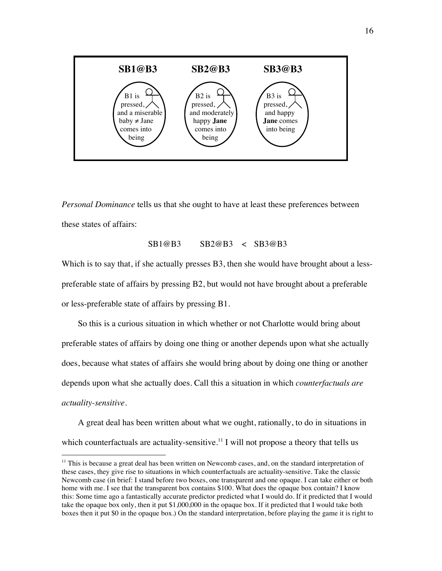

*Personal Dominance* tells us that she ought to have at least these preferences between these states of affairs:

$$
SB1@B3 \qquad SB2@B3 \qquad SB3@B3
$$

Which is to say that, if she actually presses B3, then she would have brought about a lesspreferable state of affairs by pressing B2, but would not have brought about a preferable or less-preferable state of affairs by pressing B1.

So this is a curious situation in which whether or not Charlotte would bring about preferable states of affairs by doing one thing or another depends upon what she actually does, because what states of affairs she would bring about by doing one thing or another depends upon what she actually does. Call this a situation in which *counterfactuals are actuality-sensitive*.

A great deal has been written about what we ought, rationally, to do in situations in which counterfactuals are actuality-sensitive.<sup>11</sup> I will not propose a theory that tells us

 $11$  This is because a great deal has been written on Newcomb cases, and, on the standard interpretation of these cases, they give rise to situations in which counterfactuals are actuality-sensitive. Take the classic Newcomb case (in brief: I stand before two boxes, one transparent and one opaque. I can take either or both home with me. I see that the transparent box contains \$100. What does the opaque box contain? I know this: Some time ago a fantastically accurate predictor predicted what I would do. If it predicted that I would take the opaque box only, then it put \$1,000,000 in the opaque box. If it predicted that I would take both boxes then it put \$0 in the opaque box.) On the standard interpretation, before playing the game it is right to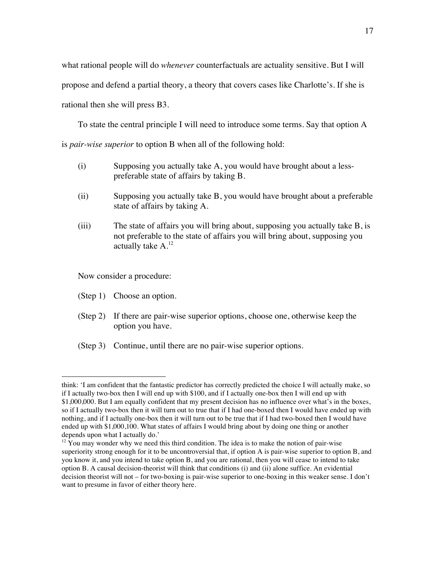what rational people will do *whenever* counterfactuals are actuality sensitive. But I will propose and defend a partial theory, a theory that covers cases like Charlotte's. If she is rational then she will press B3.

To state the central principle I will need to introduce some terms. Say that option A is *pair-wise superior* to option B when all of the following hold:

- (i) Supposing you actually take A, you would have brought about a lesspreferable state of affairs by taking B.
- (ii) Supposing you actually take B, you would have brought about a preferable state of affairs by taking A.
- (iii) The state of affairs you will bring about, supposing you actually take B, is not preferable to the state of affairs you will bring about, supposing you actually take A.<sup>12</sup>

Now consider a procedure:

(Step 1) Choose an option.

 $\overline{a}$ 

- (Step 2) If there are pair-wise superior options, choose one, otherwise keep the option you have.
- (Step 3) Continue, until there are no pair-wise superior options.

think: 'I am confident that the fantastic predictor has correctly predicted the choice I will actually make, so if I actually two-box then I will end up with \$100, and if I actually one-box then I will end up with \$1,000,000. But I am equally confident that my present decision has no influence over what's in the boxes, so if I actually two-box then it will turn out to true that if I had one-boxed then I would have ended up with nothing, and if I actually one-box then it will turn out to be true that if I had two-boxed then I would have ended up with \$1,000,100. What states of affairs I would bring about by doing one thing or another depends upon what I actually do.'

 $12$  You may wonder why we need this third condition. The idea is to make the notion of pair-wise superiority strong enough for it to be uncontroversial that, if option A is pair-wise superior to option B, and you know it, and you intend to take option B, and you are rational, then you will cease to intend to take option B. A causal decision-theorist will think that conditions (i) and (ii) alone suffice. An evidential decision theorist will not – for two-boxing is pair-wise superior to one-boxing in this weaker sense. I don't want to presume in favor of either theory here.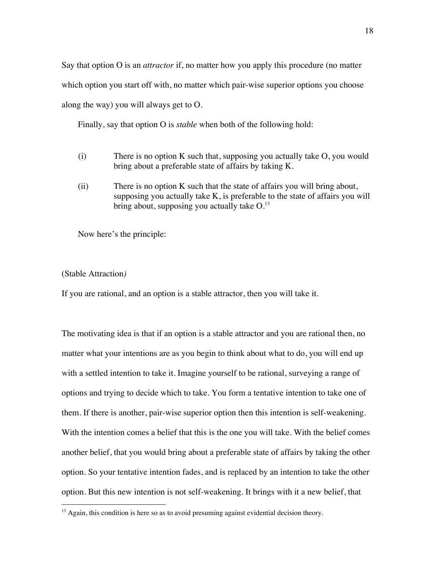Say that option O is an *attractor* if, no matter how you apply this procedure (no matter which option you start off with, no matter which pair-wise superior options you choose along the way) you will always get to O.

Finally, say that option O is *stable* when both of the following hold:

- (i) There is no option K such that, supposing you actually take O, you would bring about a preferable state of affairs by taking K.
- (ii) There is no option K such that the state of affairs you will bring about, supposing you actually take K, is preferable to the state of affairs you will bring about, supposing you actually take  $O^{13}$ .

Now here's the principle:

## (Stable Attraction*)*

If you are rational, and an option is a stable attractor, then you will take it.

The motivating idea is that if an option is a stable attractor and you are rational then, no matter what your intentions are as you begin to think about what to do, you will end up with a settled intention to take it. Imagine yourself to be rational, surveying a range of options and trying to decide which to take. You form a tentative intention to take one of them. If there is another, pair-wise superior option then this intention is self-weakening. With the intention comes a belief that this is the one you will take. With the belief comes another belief, that you would bring about a preferable state of affairs by taking the other option. So your tentative intention fades, and is replaced by an intention to take the other option. But this new intention is not self-weakening. It brings with it a new belief, that

 $<sup>13</sup>$  Again, this condition is here so as to avoid presuming against evidential decision theory.</sup>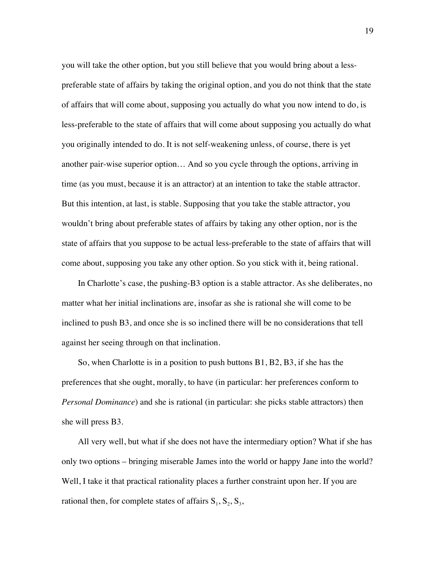you will take the other option, but you still believe that you would bring about a lesspreferable state of affairs by taking the original option, and you do not think that the state of affairs that will come about, supposing you actually do what you now intend to do, is less-preferable to the state of affairs that will come about supposing you actually do what you originally intended to do. It is not self-weakening unless, of course, there is yet another pair-wise superior option… And so you cycle through the options, arriving in time (as you must, because it is an attractor) at an intention to take the stable attractor. But this intention, at last, is stable. Supposing that you take the stable attractor, you wouldn't bring about preferable states of affairs by taking any other option, nor is the state of affairs that you suppose to be actual less-preferable to the state of affairs that will come about, supposing you take any other option. So you stick with it, being rational.

In Charlotte's case, the pushing-B3 option is a stable attractor. As she deliberates, no matter what her initial inclinations are, insofar as she is rational she will come to be inclined to push B3, and once she is so inclined there will be no considerations that tell against her seeing through on that inclination.

So, when Charlotte is in a position to push buttons B1, B2, B3, if she has the preferences that she ought, morally, to have (in particular: her preferences conform to *Personal Dominance*) and she is rational (in particular: she picks stable attractors) then she will press B3.

All very well, but what if she does not have the intermediary option? What if she has only two options – bringing miserable James into the world or happy Jane into the world? Well, I take it that practical rationality places a further constraint upon her. If you are rational then, for complete states of affairs  $S_1$ ,  $S_2$ ,  $S_3$ ,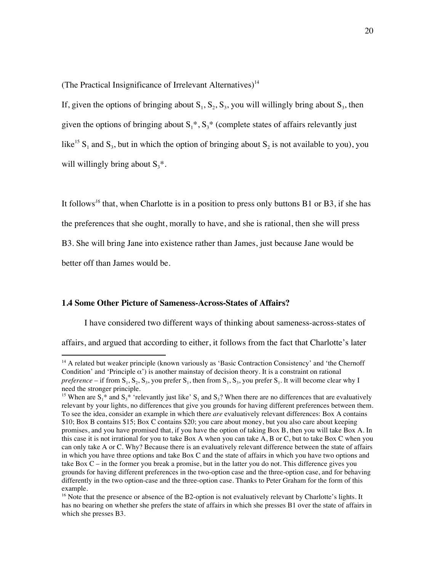(The Practical Insignificance of Irrelevant Alternatives)<sup>14</sup>

If, given the options of bringing about  $S_1$ ,  $S_2$ ,  $S_3$ , you will willingly bring about  $S_3$ , then given the options of bringing about  $S_1^*$ ,  $S_3^*$  (complete states of affairs relevantly just like<sup>15</sup> S<sub>1</sub> and S<sub>3</sub>, but in which the option of bringing about S<sub>2</sub> is not available to you), you will willingly bring about  $S_3^*$ .

It follows*<sup>16</sup>* that, when Charlotte is in a position to press only buttons B1 or B3, if she has the preferences that she ought, morally to have, and she is rational, then she will press B3. She will bring Jane into existence rather than James, just because Jane would be better off than James would be.

#### **1.4 Some Other Picture of Sameness-Across-States of Affairs?**

I have considered two different ways of thinking about sameness-across-states of affairs, and argued that according to either, it follows from the fact that Charlotte's later

 $14$  A related but weaker principle (known variously as 'Basic Contraction Consistency' and 'the Chernoff Condition' and 'Principle  $\alpha$ ') is another mainstay of decision theory. It is a constraint on rational  $preference - if from S<sub>1</sub>, S<sub>2</sub>, S<sub>3</sub>, you prefer S<sub>1</sub>, then from S<sub>1</sub>, S<sub>3</sub>, you prefer S<sub>1</sub>. It will become clear why I$ need the stronger principle.

<sup>&</sup>lt;sup>15</sup> When are S<sub>1</sub><sup>\*</sup> and S<sub>3</sub><sup>\*</sup> 'relevantly just like' S<sub>1</sub> and S<sub>3</sub>? When there are no differences that are evaluatively relevant by your lights, no differences that give you grounds for having different preferences between them. To see the idea, consider an example in which there *are* evaluatively relevant differences: Box A contains \$10; Box B contains \$15; Box C contains \$20; you care about money, but you also care about keeping promises, and you have promised that, if you have the option of taking Box B, then you will take Box A. In this case it is not irrational for you to take Box A when you can take A, B or C, but to take Box C when you can only take A or C. Why? Because there is an evaluatively relevant difference between the state of affairs in which you have three options and take Box C and the state of affairs in which you have two options and take Box C – in the former you break a promise, but in the latter you do not. This difference gives you grounds for having different preferences in the two-option case and the three-option case, and for behaving differently in the two option-case and the three-option case. Thanks to Peter Graham for the form of this example.

<sup>&</sup>lt;sup>16</sup> Note that the presence or absence of the B2-option is not evaluatively relevant by Charlotte's lights. It has no bearing on whether she prefers the state of affairs in which she presses B1 over the state of affairs in which she presses B3.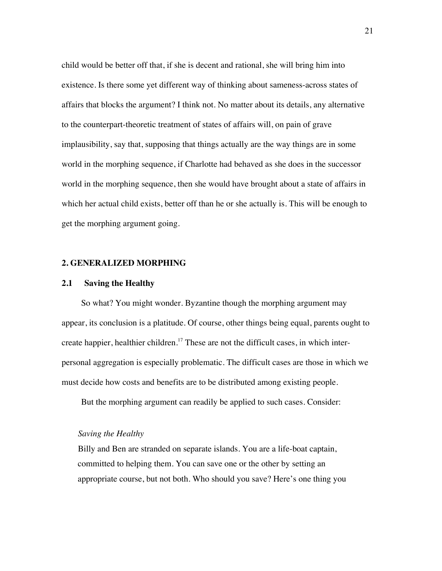child would be better off that, if she is decent and rational, she will bring him into existence. Is there some yet different way of thinking about sameness-across states of affairs that blocks the argument? I think not. No matter about its details, any alternative to the counterpart-theoretic treatment of states of affairs will, on pain of grave implausibility, say that, supposing that things actually are the way things are in some world in the morphing sequence, if Charlotte had behaved as she does in the successor world in the morphing sequence, then she would have brought about a state of affairs in which her actual child exists, better off than he or she actually is. This will be enough to get the morphing argument going.

## **2. GENERALIZED MORPHING**

## **2.1 Saving the Healthy**

So what? You might wonder. Byzantine though the morphing argument may appear, its conclusion is a platitude. Of course, other things being equal, parents ought to create happier, healthier children.<sup>17</sup> These are not the difficult cases, in which interpersonal aggregation is especially problematic. The difficult cases are those in which we must decide how costs and benefits are to be distributed among existing people.

But the morphing argument can readily be applied to such cases. Consider:

## *Saving the Healthy*

Billy and Ben are stranded on separate islands. You are a life-boat captain, committed to helping them. You can save one or the other by setting an appropriate course, but not both. Who should you save? Here's one thing you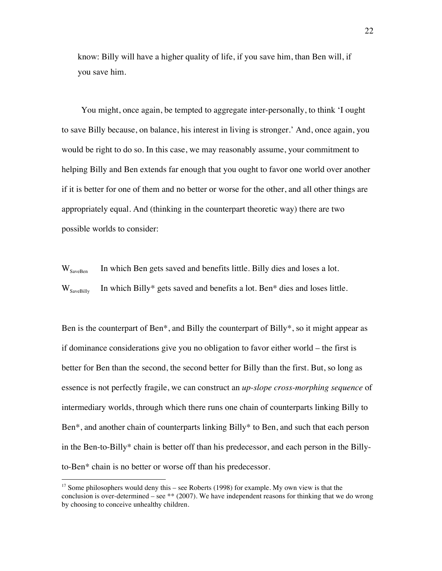know: Billy will have a higher quality of life, if you save him, than Ben will, if you save him.

You might, once again, be tempted to aggregate inter-personally, to think 'I ought to save Billy because, on balance, his interest in living is stronger.' And, once again, you would be right to do so. In this case, we may reasonably assume, your commitment to helping Billy and Ben extends far enough that you ought to favor one world over another if it is better for one of them and no better or worse for the other, and all other things are appropriately equal. And (thinking in the counterpart theoretic way) there are two possible worlds to consider:

 $W_{SaveBen}$  In which Ben gets saved and benefits little. Billy dies and loses a lot.  $W_{SaveBillv}$  In which Billy\* gets saved and benefits a lot. Ben\* dies and loses little.

Ben is the counterpart of Ben<sup>\*</sup>, and Billy the counterpart of Billy<sup>\*</sup>, so it might appear as if dominance considerations give you no obligation to favor either world – the first is better for Ben than the second, the second better for Billy than the first. But, so long as essence is not perfectly fragile, we can construct an *up-slope cross-morphing sequence* of intermediary worlds, through which there runs one chain of counterparts linking Billy to Ben\*, and another chain of counterparts linking Billy\* to Ben, and such that each person in the Ben-to-Billy\* chain is better off than his predecessor, and each person in the Billyto-Ben\* chain is no better or worse off than his predecessor.

<sup>&</sup>lt;sup>17</sup> Some philosophers would deny this – see Roberts (1998) for example. My own view is that the conclusion is over-determined – see \*\* (2007). We have independent reasons for thinking that we do wrong by choosing to conceive unhealthy children.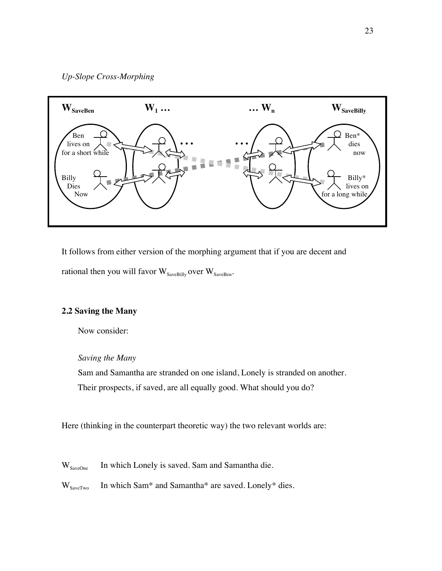

It follows from either version of the morphing argument that if you are decent and rational then you will favor  $W_{SaveBilly}$  over  $W_{SaveBen}$ .

# **2.2 Saving the Many**

Now consider:

# *Saving the Many*

Sam and Samantha are stranded on one island, Lonely is stranded on another. Their prospects, if saved, are all equally good. What should you do?

Here (thinking in the counterpart theoretic way) the two relevant worlds are:

W<sub>SaveOne</sub> In which Lonely is saved. Sam and Samantha die.

 $W_{SaveTwo}$  In which Sam\* and Samantha\* are saved. Lonely\* dies.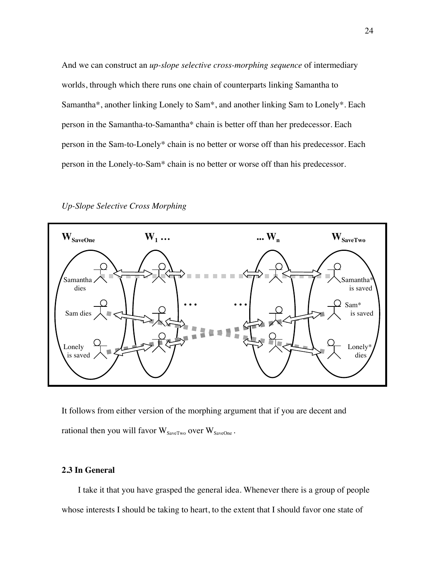And we can construct an *up-slope selective cross-morphing sequence* of intermediary worlds, through which there runs one chain of counterparts linking Samantha to Samantha\*, another linking Lonely to Sam\*, and another linking Sam to Lonely\*. Each person in the Samantha-to-Samantha\* chain is better off than her predecessor. Each person in the Sam-to-Lonely\* chain is no better or worse off than his predecessor. Each person in the Lonely-to-Sam\* chain is no better or worse off than his predecessor.



*Up-Slope Selective Cross Morphing*

It follows from either version of the morphing argument that if you are decent and rational then you will favor  $W_{SaveTwo}$  over  $W_{SaveOne}$ .

# **2.3 In General**

I take it that you have grasped the general idea. Whenever there is a group of people whose interests I should be taking to heart, to the extent that I should favor one state of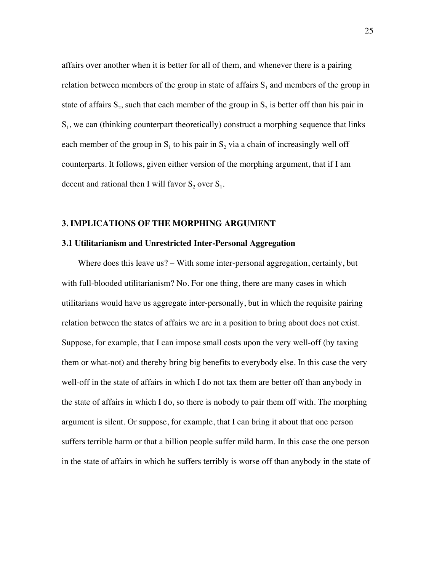affairs over another when it is better for all of them, and whenever there is a pairing relation between members of the group in state of affairs  $S<sub>1</sub>$  and members of the group in state of affairs  $S_2$ , such that each member of the group in  $S_2$  is better off than his pair in  $S_1$ , we can (thinking counterpart theoretically) construct a morphing sequence that links each member of the group in  $S_1$  to his pair in  $S_2$  via a chain of increasingly well off counterparts. It follows, given either version of the morphing argument, that if I am decent and rational then I will favor  $S_2$  over  $S_1$ .

## **3. IMPLICATIONS OF THE MORPHING ARGUMENT**

#### **3.1 Utilitarianism and Unrestricted Inter-Personal Aggregation**

Where does this leave us? – With some inter-personal aggregation, certainly, but with full-blooded utilitarianism? No. For one thing, there are many cases in which utilitarians would have us aggregate inter-personally, but in which the requisite pairing relation between the states of affairs we are in a position to bring about does not exist. Suppose, for example, that I can impose small costs upon the very well-off (by taxing them or what-not) and thereby bring big benefits to everybody else. In this case the very well-off in the state of affairs in which I do not tax them are better off than anybody in the state of affairs in which I do, so there is nobody to pair them off with. The morphing argument is silent. Or suppose, for example, that I can bring it about that one person suffers terrible harm or that a billion people suffer mild harm. In this case the one person in the state of affairs in which he suffers terribly is worse off than anybody in the state of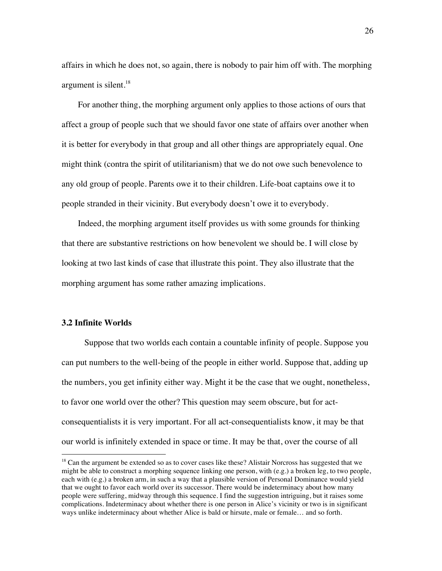affairs in which he does not, so again, there is nobody to pair him off with. The morphing argument is silent.<sup>18</sup>

For another thing, the morphing argument only applies to those actions of ours that affect a group of people such that we should favor one state of affairs over another when it is better for everybody in that group and all other things are appropriately equal. One might think (contra the spirit of utilitarianism) that we do not owe such benevolence to any old group of people. Parents owe it to their children. Life-boat captains owe it to people stranded in their vicinity. But everybody doesn't owe it to everybody.

Indeed, the morphing argument itself provides us with some grounds for thinking that there are substantive restrictions on how benevolent we should be. I will close by looking at two last kinds of case that illustrate this point. They also illustrate that the morphing argument has some rather amazing implications.

## **3.2 Infinite Worlds**

Suppose that two worlds each contain a countable infinity of people. Suppose you can put numbers to the well-being of the people in either world. Suppose that, adding up the numbers, you get infinity either way. Might it be the case that we ought, nonetheless, to favor one world over the other? This question may seem obscure, but for actconsequentialists it is very important. For all act-consequentialists know, it may be that our world is infinitely extended in space or time. It may be that, over the course of all

<sup>&</sup>lt;sup>18</sup> Can the argument be extended so as to cover cases like these? Alistair Norcross has suggested that we might be able to construct a morphing sequence linking one person, with  $(e.g.)$  a broken leg, to two people, each with (e.g.) a broken arm, in such a way that a plausible version of Personal Dominance would yield that we ought to favor each world over its successor. There would be indeterminacy about how many people were suffering, midway through this sequence. I find the suggestion intriguing, but it raises some complications. Indeterminacy about whether there is one person in Alice's vicinity or two is in significant ways unlike indeterminacy about whether Alice is bald or hirsute, male or female… and so forth.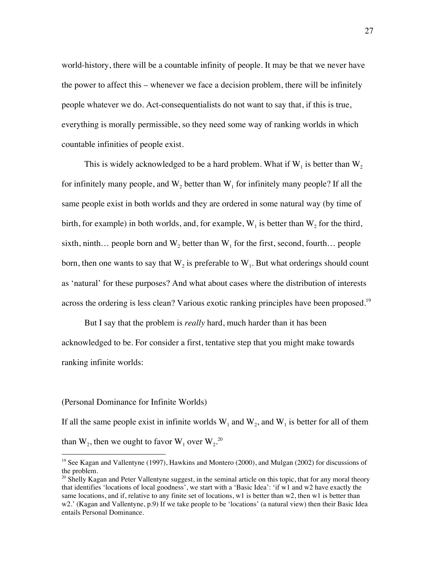world-history, there will be a countable infinity of people. It may be that we never have the power to affect this – whenever we face a decision problem, there will be infinitely people whatever we do. Act-consequentialists do not want to say that, if this is true, everything is morally permissible, so they need some way of ranking worlds in which countable infinities of people exist.

This is widely acknowledged to be a hard problem. What if  $W_1$  is better than  $W_2$ for infinitely many people, and  $W_2$  better than  $W_1$  for infinitely many people? If all the same people exist in both worlds and they are ordered in some natural way (by time of birth, for example) in both worlds, and, for example,  $W_1$  is better than  $W_2$  for the third, sixth, ninth... people born and  $W_2$  better than  $W_1$  for the first, second, fourth... people born, then one wants to say that  $W_2$  is preferable to  $W_1$ . But what orderings should count as 'natural' for these purposes? And what about cases where the distribution of interests across the ordering is less clean? Various exotic ranking principles have been proposed.<sup>19</sup>

But I say that the problem is *really* hard, much harder than it has been acknowledged to be. For consider a first, tentative step that you might make towards ranking infinite worlds:

#### (Personal Dominance for Infinite Worlds)

If all the same people exist in infinite worlds  $W_1$  and  $W_2$ , and  $W_1$  is better for all of them than  $W_2$ , then we ought to favor  $W_1$  over  $W_2$ .<sup>20</sup>

<sup>&</sup>lt;sup>19</sup> See Kagan and Vallentyne (1997), Hawkins and Montero (2000), and Mulgan (2002) for discussions of the problem.

<sup>&</sup>lt;sup>20</sup> Shelly Kagan and Peter Vallentyne suggest, in the seminal article on this topic, that for any moral theory that identifies 'locations of local goodness', we start with a 'Basic Idea': 'if w1 and w2 have exactly the same locations, and if, relative to any finite set of locations, w1 is better than w2, then w1 is better than w2.' (Kagan and Vallentyne, p.9) If we take people to be 'locations' (a natural view) then their Basic Idea entails Personal Dominance.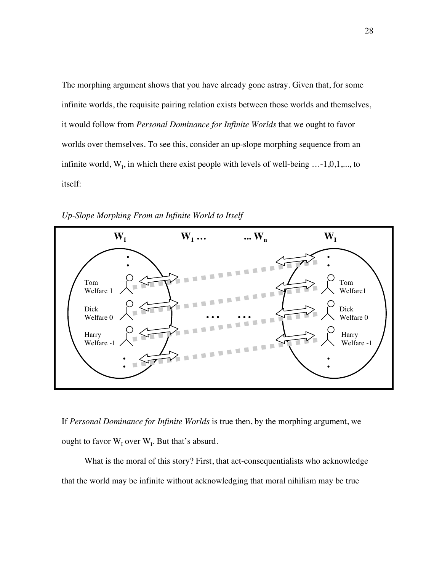The morphing argument shows that you have already gone astray. Given that, for some infinite worlds, the requisite pairing relation exists between those worlds and themselves, it would follow from *Personal Dominance for Infinite Worlds* that we ought to favor worlds over themselves. To see this, consider an up-slope morphing sequence from an infinite world,  $W_1$ , in which there exist people with levels of well-being ...-1,0,1,..., to itself:



*Up-Slope Morphing From an Infinite World to Itself*

If *Personal Dominance for Infinite Worlds* is true then, by the morphing argument, we ought to favor  $\mathbf{W}_{\text{I}}$  over  $\mathbf{W}_{\text{I}}$ . But that's absurd.

What is the moral of this story? First, that act-consequentialists who acknowledge that the world may be infinite without acknowledging that moral nihilism may be true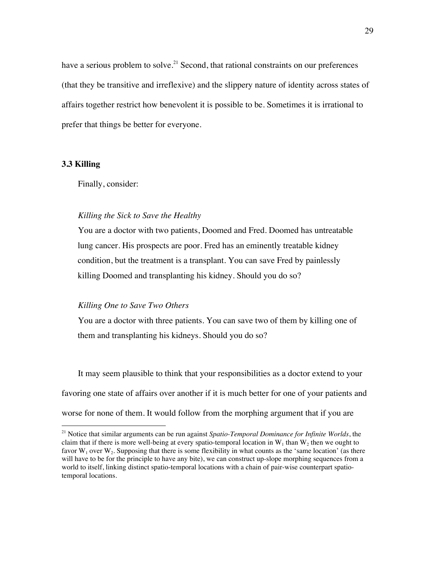have a serious problem to solve.<sup>21</sup> Second, that rational constraints on our preferences (that they be transitive and irreflexive) and the slippery nature of identity across states of affairs together restrict how benevolent it is possible to be. Sometimes it is irrational to prefer that things be better for everyone.

# **3.3 Killing**

Finally, consider:

# *Killing the Sick to Save the Healthy*

You are a doctor with two patients, Doomed and Fred. Doomed has untreatable lung cancer. His prospects are poor. Fred has an eminently treatable kidney condition, but the treatment is a transplant. You can save Fred by painlessly killing Doomed and transplanting his kidney. Should you do so?

### *Killing One to Save Two Others*

You are a doctor with three patients. You can save two of them by killing one of them and transplanting his kidneys. Should you do so?

It may seem plausible to think that your responsibilities as a doctor extend to your favoring one state of affairs over another if it is much better for one of your patients and worse for none of them. It would follow from the morphing argument that if you are

 <sup>21</sup> Notice that similar arguments can be run against *Spatio-Temporal Dominance for Infinite Worlds*, the claim that if there is more well-being at every spatio-temporal location in  $W_1$  than  $W_2$  then we ought to favor  $W_1$  over  $W_2$ . Supposing that there is some flexibility in what counts as the 'same location' (as there will have to be for the principle to have any bite), we can construct up-slope morphing sequences from a world to itself, linking distinct spatio-temporal locations with a chain of pair-wise counterpart spatiotemporal locations.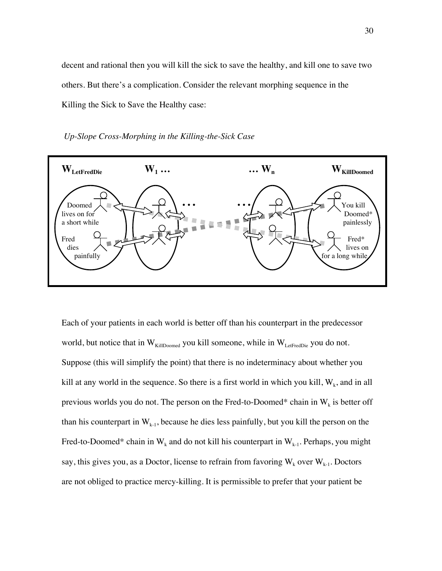decent and rational then you will kill the sick to save the healthy, and kill one to save two others. But there's a complication. Consider the relevant morphing sequence in the Killing the Sick to Save the Healthy case:

 *Up-Slope Cross-Morphing in the Killing-the-Sick Case*



Each of your patients in each world is better off than his counterpart in the predecessor world, but notice that in  $W_{\text{KillDomed}}$  you kill someone, while in  $W_{\text{LetFredDie}}$  you do not. Suppose (this will simplify the point) that there is no indeterminacy about whether you kill at any world in the sequence. So there is a first world in which you kill,  $W_k$ , and in all previous worlds you do not. The person on the Fred-to-Doomed\* chain in  $W_k$  is better off than his counterpart in  $W_{k-1}$ , because he dies less painfully, but you kill the person on the Fred-to-Doomed\* chain in  $W_k$  and do not kill his counterpart in  $W_{k-1}$ . Perhaps, you might say, this gives you, as a Doctor, license to refrain from favoring  $W_k$  over  $W_{k-1}$ . Doctors are not obliged to practice mercy-killing. It is permissible to prefer that your patient be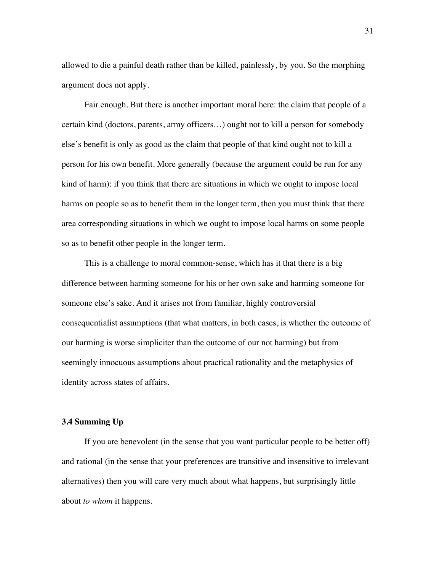allowed to die a painful death rather than be killed, painlessly, by you. So the morphing argument does not apply.

Fair enough. But there is another important moral here: the claim that people of a certain kind (doctors, parents, army officers…) ought not to kill a person for somebody else's benefit is only as good as the claim that people of that kind ought not to kill a person for his own benefit. More generally (because the argument could be run for any kind of harm): if you think that there are situations in which we ought to impose local harms on people so as to benefit them in the longer term, then you must think that there area corresponding situations in which we ought to impose local harms on some people so as to benefit other people in the longer term.

This is a challenge to moral common-sense, which has it that there is a big difference between harming someone for his or her own sake and harming someone for someone else's sake. And it arises not from familiar, highly controversial consequentialist assumptions (that what matters, in both cases, is whether the outcome of our harming is worse simpliciter than the outcome of our not harming) but from seemingly innocuous assumptions about practical rationality and the metaphysics of identity across states of affairs.

#### **3.4 Summing Up**

If you are benevolent (in the sense that you want particular people to be better off) and rational (in the sense that your preferences are transitive and insensitive to irrelevant alternatives) then you will care very much about what happens, but surprisingly little about *to whom* it happens.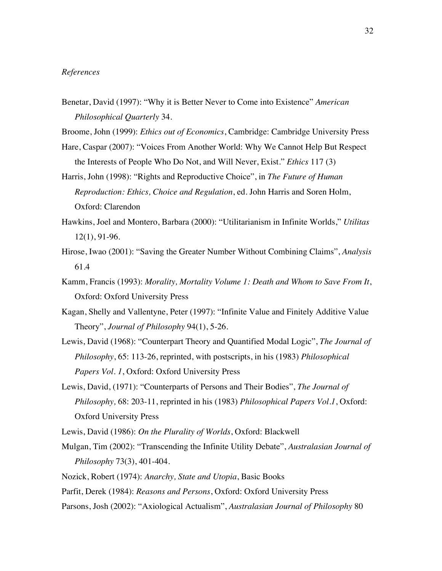#### *References*

- Benetar, David (1997): "Why it is Better Never to Come into Existence" *American Philosophical Quarterly* 34.
- Broome, John (1999): *Ethics out of Economics*, Cambridge: Cambridge University Press
- Hare, Caspar (2007): "Voices From Another World: Why We Cannot Help But Respect the Interests of People Who Do Not, and Will Never, Exist." *Ethics* 117 (3)
- Harris, John (1998): "Rights and Reproductive Choice", in *The Future of Human Reproduction: Ethics, Choice and Regulation*, ed. John Harris and Soren Holm, Oxford: Clarendon
- Hawkins, Joel and Montero, Barbara (2000): "Utilitarianism in Infinite Worlds," *Utilitas* 12(1), 91-96.
- Hirose, Iwao (2001): "Saving the Greater Number Without Combining Claims", *Analysis* 61.4
- Kamm, Francis (1993): *Morality, Mortality Volume 1: Death and Whom to Save From It*, Oxford: Oxford University Press
- Kagan, Shelly and Vallentyne, Peter (1997): "Infinite Value and Finitely Additive Value Theory", *Journal of Philosophy* 94(1), 5-26.
- Lewis, David (1968): "Counterpart Theory and Quantified Modal Logic", *The Journal of Philosophy*, 65: 113-26, reprinted, with postscripts, in his (1983) *Philosophical Papers Vol. 1*, Oxford: Oxford University Press
- Lewis, David, (1971): "Counterparts of Persons and Their Bodies", *The Journal of Philosophy,* 68: 203-11, reprinted in his (1983) *Philosophical Papers Vol.1*, Oxford: Oxford University Press
- Lewis, David (1986): *On the Plurality of Worlds*, Oxford: Blackwell
- Mulgan, Tim (2002): "Transcending the Infinite Utility Debate", *Australasian Journal of Philosophy* 73(3), 401-404.
- Nozick, Robert (1974): *Anarchy, State and Utopia*, Basic Books
- Parfit, Derek (1984): *Reasons and Persons*, Oxford: Oxford University Press
- Parsons, Josh (2002): "Axiological Actualism", *Australasian Journal of Philosophy* 80